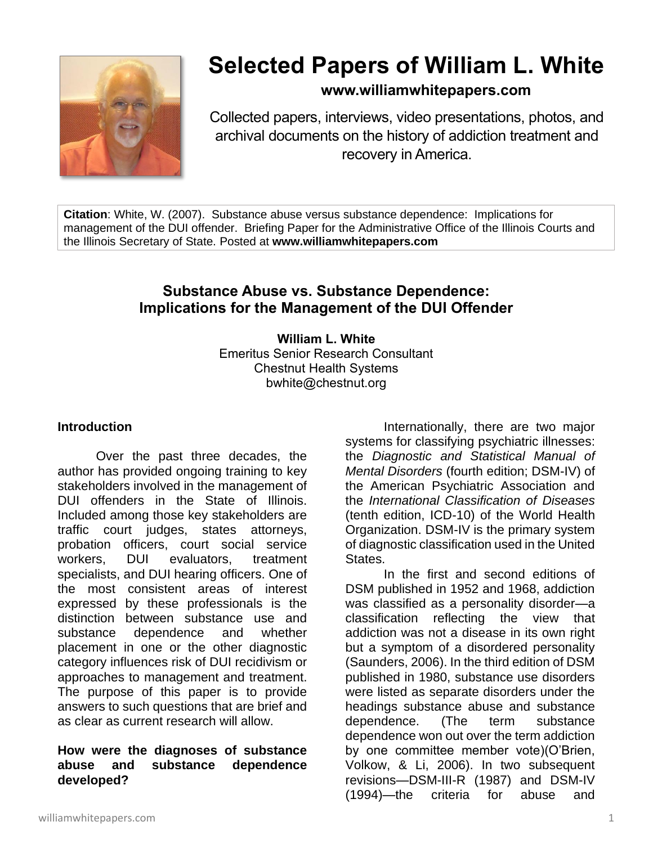

# **Selected Papers of William L. White**

## **www.williamwhitepapers.com**

Collected papers, interviews, video presentations, photos, and archival documents on the history of addiction treatment and recovery in America.

**Citation**: White, W. (2007). Substance abuse versus substance dependence: Implications for management of the DUI offender. Briefing Paper for the Administrative Office of the Illinois Courts and the Illinois Secretary of State. Posted at **www.williamwhitepapers.com**

# **Substance Abuse vs. Substance Dependence: Implications for the Management of the DUI Offender**

**William L. White** Emeritus Senior Research Consultant Chestnut Health Systems bwhite@chestnut.org

#### **Introduction**

Over the past three decades, the author has provided ongoing training to key stakeholders involved in the management of DUI offenders in the State of Illinois. Included among those key stakeholders are traffic court judges, states attorneys, probation officers, court social service workers, DUI evaluators, treatment specialists, and DUI hearing officers. One of the most consistent areas of interest expressed by these professionals is the distinction between substance use and substance dependence and whether placement in one or the other diagnostic category influences risk of DUI recidivism or approaches to management and treatment. The purpose of this paper is to provide answers to such questions that are brief and as clear as current research will allow.

#### **How were the diagnoses of substance abuse and substance dependence developed?**

Internationally, there are two major systems for classifying psychiatric illnesses: the *Diagnostic and Statistical Manual of Mental Disorders* (fourth edition; DSM-IV) of the American Psychiatric Association and the *International Classification of Diseases* (tenth edition, ICD-10) of the World Health Organization. DSM-IV is the primary system of diagnostic classification used in the United States.

In the first and second editions of DSM published in 1952 and 1968, addiction was classified as a personality disorder—a classification reflecting the view that addiction was not a disease in its own right but a symptom of a disordered personality (Saunders, 2006). In the third edition of DSM published in 1980, substance use disorders were listed as separate disorders under the headings substance abuse and substance dependence. (The term substance dependence won out over the term addiction by one committee member vote)(O'Brien, Volkow, & Li, 2006). In two subsequent revisions—DSM-III-R (1987) and DSM-IV (1994)—the criteria for abuse and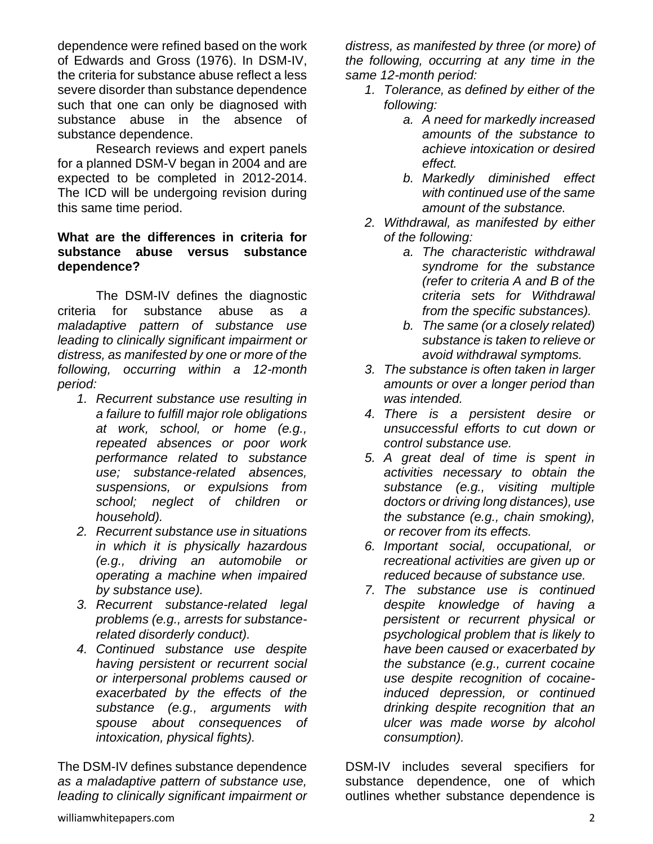dependence were refined based on the work of Edwards and Gross (1976). In DSM-IV, the criteria for substance abuse reflect a less severe disorder than substance dependence such that one can only be diagnosed with substance abuse in the absence of substance dependence.

Research reviews and expert panels for a planned DSM-V began in 2004 and are expected to be completed in 2012-2014. The ICD will be undergoing revision during this same time period.

#### **What are the differences in criteria for substance abuse versus substance dependence?**

The DSM-IV defines the diagnostic criteria for substance abuse as *a maladaptive pattern of substance use leading to clinically significant impairment or distress, as manifested by one or more of the following, occurring within a 12-month period:*

- *1. Recurrent substance use resulting in a failure to fulfill major role obligations at work, school, or home (e.g., repeated absences or poor work performance related to substance use; substance-related absences, suspensions, or expulsions from school; neglect of children or household).*
- *2. Recurrent substance use in situations in which it is physically hazardous (e.g., driving an automobile or operating a machine when impaired by substance use).*
- *3. Recurrent substance-related legal problems (e.g., arrests for substancerelated disorderly conduct).*
- *4. Continued substance use despite having persistent or recurrent social or interpersonal problems caused or exacerbated by the effects of the substance (e.g., arguments with spouse about consequences of intoxication, physical fights).*

The DSM-IV defines substance dependence *as a maladaptive pattern of substance use, leading to clinically significant impairment or*  *distress, as manifested by three (or more) of the following, occurring at any time in the same 12-month period:* 

- *1. Tolerance, as defined by either of the following:* 
	- *a. A need for markedly increased amounts of the substance to achieve intoxication or desired effect.*
	- *b. Markedly diminished effect with continued use of the same amount of the substance.*
- *2. Withdrawal, as manifested by either of the following:* 
	- *a. The characteristic withdrawal syndrome for the substance (refer to criteria A and B of the criteria sets for Withdrawal from the specific substances).*
	- *b. The same (or a closely related) substance is taken to relieve or avoid withdrawal symptoms.*
- *3. The substance is often taken in larger amounts or over a longer period than was intended.*
- *4. There is a persistent desire or unsuccessful efforts to cut down or control substance use.*
- *5. A great deal of time is spent in activities necessary to obtain the substance (e.g., visiting multiple doctors or driving long distances), use the substance (e.g., chain smoking), or recover from its effects.*
- *6. Important social, occupational, or recreational activities are given up or reduced because of substance use.*
- *7. The substance use is continued despite knowledge of having a persistent or recurrent physical or psychological problem that is likely to have been caused or exacerbated by the substance (e.g., current cocaine use despite recognition of cocaineinduced depression, or continued drinking despite recognition that an ulcer was made worse by alcohol consumption).*

DSM-IV includes several specifiers for substance dependence, one of which outlines whether substance dependence is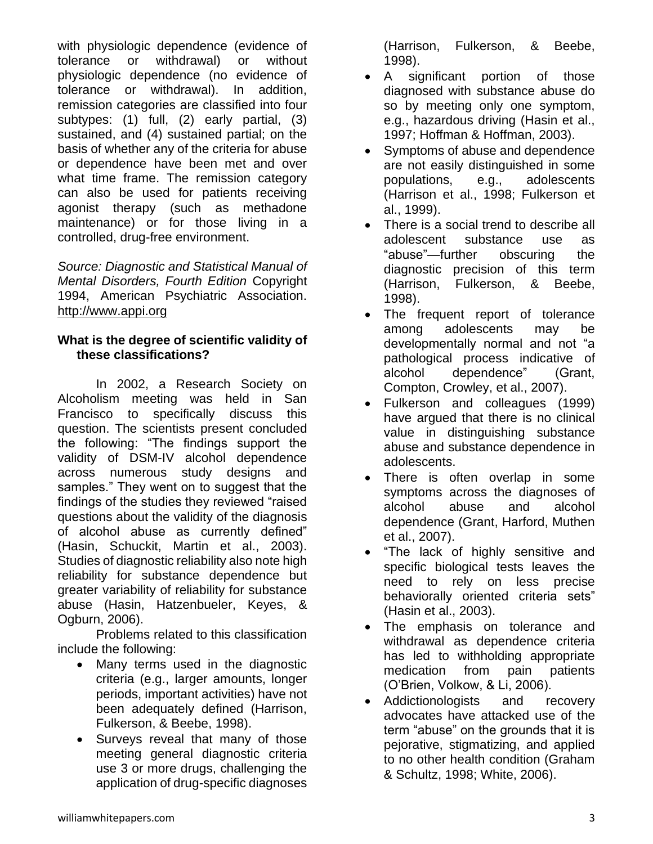with physiologic dependence (evidence of tolerance or withdrawal) or without physiologic dependence (no evidence of tolerance or withdrawal). In addition, remission categories are classified into four subtypes: (1) full, (2) early partial, (3) sustained, and (4) sustained partial; on the basis of whether any of the criteria for abuse or dependence have been met and over what time frame. The remission category can also be used for patients receiving agonist therapy (such as methadone maintenance) or for those living in a controlled, drug-free environment.

*Source: Diagnostic and Statistical Manual of Mental Disorders, Fourth Edition* Copyright 1994, American Psychiatric Association. [http://www.appi.org](http://www.appi.org/)

#### **What is the degree of scientific validity of these classifications?**

In 2002, a Research Society on Alcoholism meeting was held in San Francisco to specifically discuss this question. The scientists present concluded the following: "The findings support the validity of DSM-IV alcohol dependence across numerous study designs and samples." They went on to suggest that the findings of the studies they reviewed "raised questions about the validity of the diagnosis of alcohol abuse as currently defined" (Hasin, Schuckit, Martin et al., 2003). Studies of diagnostic reliability also note high reliability for substance dependence but greater variability of reliability for substance abuse (Hasin, Hatzenbueler, Keyes, & Ogburn, 2006).

Problems related to this classification include the following:

- Many terms used in the diagnostic criteria (e.g., larger amounts, longer periods, important activities) have not been adequately defined (Harrison, Fulkerson, & Beebe, 1998).
- Surveys reveal that many of those meeting general diagnostic criteria use 3 or more drugs, challenging the application of drug-specific diagnoses

(Harrison, Fulkerson, & Beebe, 1998).

- A significant portion of those diagnosed with substance abuse do so by meeting only one symptom, e.g., hazardous driving (Hasin et al., 1997; Hoffman & Hoffman, 2003).
- Symptoms of abuse and dependence are not easily distinguished in some populations, e.g., adolescents (Harrison et al., 1998; Fulkerson et al., 1999).
- There is a social trend to describe all adolescent substance use as "abuse"—further obscuring the diagnostic precision of this term (Harrison, Fulkerson, & Beebe, 1998).
- The frequent report of tolerance among adolescents may be developmentally normal and not "a pathological process indicative of alcohol dependence" (Grant, Compton, Crowley, et al., 2007).
- Fulkerson and colleagues (1999) have argued that there is no clinical value in distinguishing substance abuse and substance dependence in adolescents.
- There is often overlap in some symptoms across the diagnoses of alcohol abuse and alcohol dependence (Grant, Harford, Muthen et al., 2007).
- "The lack of highly sensitive and specific biological tests leaves the need to rely on less precise behaviorally oriented criteria sets" (Hasin et al., 2003).
- The emphasis on tolerance and withdrawal as dependence criteria has led to withholding appropriate medication from pain patients (O'Brien, Volkow, & Li, 2006).
- Addictionologists and recovery advocates have attacked use of the term "abuse" on the grounds that it is pejorative, stigmatizing, and applied to no other health condition (Graham & Schultz, 1998; White, 2006).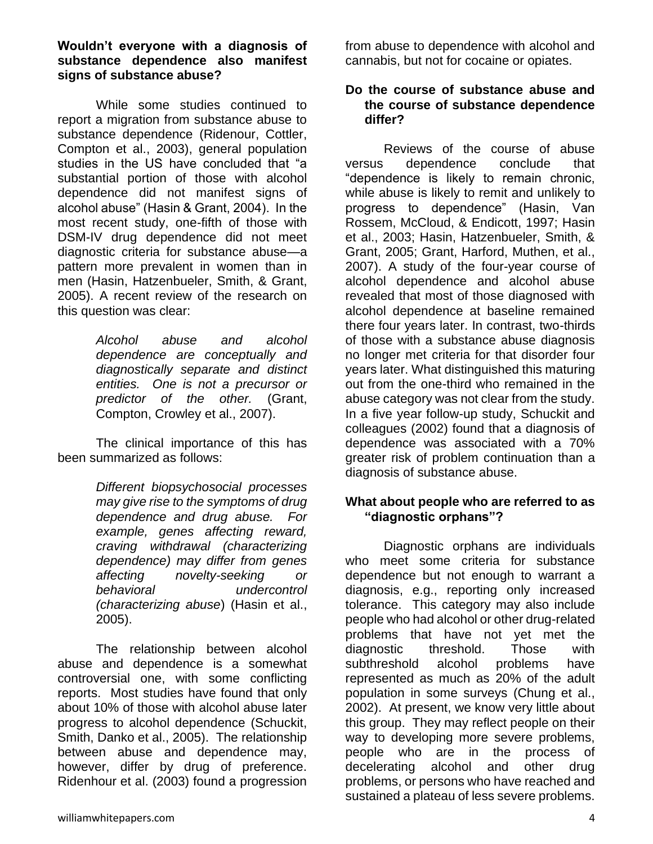While some studies continued to report a migration from substance abuse to substance dependence (Ridenour, Cottler, Compton et al., 2003), general population studies in the US have concluded that "a substantial portion of those with alcohol dependence did not manifest signs of alcohol abuse" (Hasin & Grant, 2004). In the most recent study, one-fifth of those with DSM-IV drug dependence did not meet diagnostic criteria for substance abuse—a pattern more prevalent in women than in men (Hasin, Hatzenbueler, Smith, & Grant, 2005). A recent review of the research on this question was clear:

> *Alcohol abuse and alcohol dependence are conceptually and diagnostically separate and distinct entities. One is not a precursor or predictor of the other.* (Grant, Compton, Crowley et al., 2007).

The clinical importance of this has been summarized as follows:

> *Different biopsychosocial processes may give rise to the symptoms of drug dependence and drug abuse. For example, genes affecting reward, craving withdrawal (characterizing dependence) may differ from genes affecting novelty-seeking or behavioral undercontrol (characterizing abuse*) (Hasin et al., 2005).

The relationship between alcohol abuse and dependence is a somewhat controversial one, with some conflicting reports.Most studies have found that only about 10% of those with alcohol abuse later progress to alcohol dependence (Schuckit, Smith, Danko et al., 2005). The relationship between abuse and dependence may, however, differ by drug of preference. Ridenhour et al. (2003) found a progression

from abuse to dependence with alcohol and cannabis, but not for cocaine or opiates.

#### **Do the course of substance abuse and the course of substance dependence differ?**

Reviews of the course of abuse versus dependence conclude that "dependence is likely to remain chronic, while abuse is likely to remit and unlikely to progress to dependence" (Hasin, Van Rossem, McCloud, & Endicott, 1997; Hasin et al., 2003; Hasin, Hatzenbueler, Smith, & Grant, 2005; Grant, Harford, Muthen, et al., 2007). A study of the four-year course of alcohol dependence and alcohol abuse revealed that most of those diagnosed with alcohol dependence at baseline remained there four years later. In contrast, two-thirds of those with a substance abuse diagnosis no longer met criteria for that disorder four years later. What distinguished this maturing out from the one-third who remained in the abuse category was not clear from the study. In a five year follow-up study, Schuckit and colleagues (2002) found that a diagnosis of dependence was associated with a 70% greater risk of problem continuation than a diagnosis of substance abuse.

#### **What about people who are referred to as "diagnostic orphans"?**

Diagnostic orphans are individuals who meet some criteria for substance dependence but not enough to warrant a diagnosis, e.g., reporting only increased tolerance. This category may also include people who had alcohol or other drug-related problems that have not yet met the diagnostic threshold. Those with<br>subthreshold alcohol problems have subthreshold alcohol problems have represented as much as 20% of the adult population in some surveys (Chung et al., 2002). At present, we know very little about this group. They may reflect people on their way to developing more severe problems, people who are in the process of decelerating alcohol and other drug problems, or persons who have reached and sustained a plateau of less severe problems.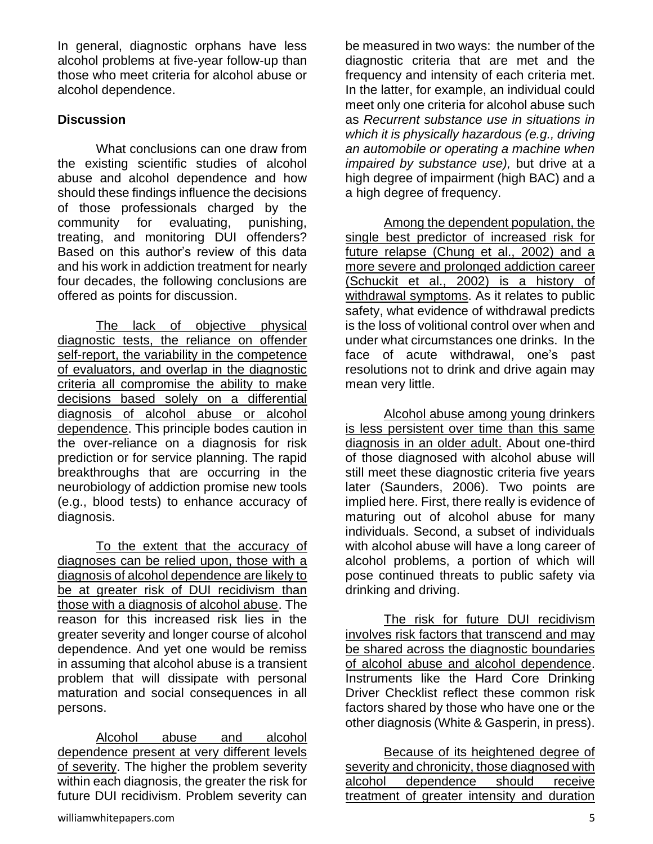In general, diagnostic orphans have less alcohol problems at five-year follow-up than those who meet criteria for alcohol abuse or alcohol dependence.

### **Discussion**

What conclusions can one draw from the existing scientific studies of alcohol abuse and alcohol dependence and how should these findings influence the decisions of those professionals charged by the community for evaluating, punishing, treating, and monitoring DUI offenders? Based on this author's review of this data and his work in addiction treatment for nearly four decades, the following conclusions are offered as points for discussion.

The lack of objective physical diagnostic tests, the reliance on offender self-report, the variability in the competence of evaluators, and overlap in the diagnostic criteria all compromise the ability to make decisions based solely on a differential diagnosis of alcohol abuse or alcohol dependence. This principle bodes caution in the over-reliance on a diagnosis for risk prediction or for service planning. The rapid breakthroughs that are occurring in the neurobiology of addiction promise new tools (e.g., blood tests) to enhance accuracy of diagnosis.

To the extent that the accuracy of diagnoses can be relied upon, those with a diagnosis of alcohol dependence are likely to be at greater risk of DUI recidivism than those with a diagnosis of alcohol abuse. The reason for this increased risk lies in the greater severity and longer course of alcohol dependence. And yet one would be remiss in assuming that alcohol abuse is a transient problem that will dissipate with personal maturation and social consequences in all persons.

Alcohol abuse and alcohol dependence present at very different levels of severity. The higher the problem severity within each diagnosis, the greater the risk for future DUI recidivism. Problem severity can be measured in two ways: the number of the diagnostic criteria that are met and the frequency and intensity of each criteria met. In the latter, for example, an individual could meet only one criteria for alcohol abuse such as *Recurrent substance use in situations in which it is physically hazardous (e.g., driving an automobile or operating a machine when impaired by substance use),* but drive at a high degree of impairment (high BAC) and a a high degree of frequency.

Among the dependent population, the single best predictor of increased risk for future relapse (Chung et al., 2002) and a more severe and prolonged addiction career (Schuckit et al., 2002) is a history of withdrawal symptoms. As it relates to public safety, what evidence of withdrawal predicts is the loss of volitional control over when and under what circumstances one drinks. In the face of acute withdrawal, one's past resolutions not to drink and drive again may mean very little.

Alcohol abuse among young drinkers is less persistent over time than this same diagnosis in an older adult. About one-third of those diagnosed with alcohol abuse will still meet these diagnostic criteria five years later (Saunders, 2006). Two points are implied here. First, there really is evidence of maturing out of alcohol abuse for many individuals. Second, a subset of individuals with alcohol abuse will have a long career of alcohol problems, a portion of which will pose continued threats to public safety via drinking and driving.

The risk for future DUI recidivism involves risk factors that transcend and may be shared across the diagnostic boundaries of alcohol abuse and alcohol dependence. Instruments like the Hard Core Drinking Driver Checklist reflect these common risk factors shared by those who have one or the other diagnosis (White & Gasperin, in press).

Because of its heightened degree of severity and chronicity, those diagnosed with alcohol dependence should receive treatment of greater intensity and duration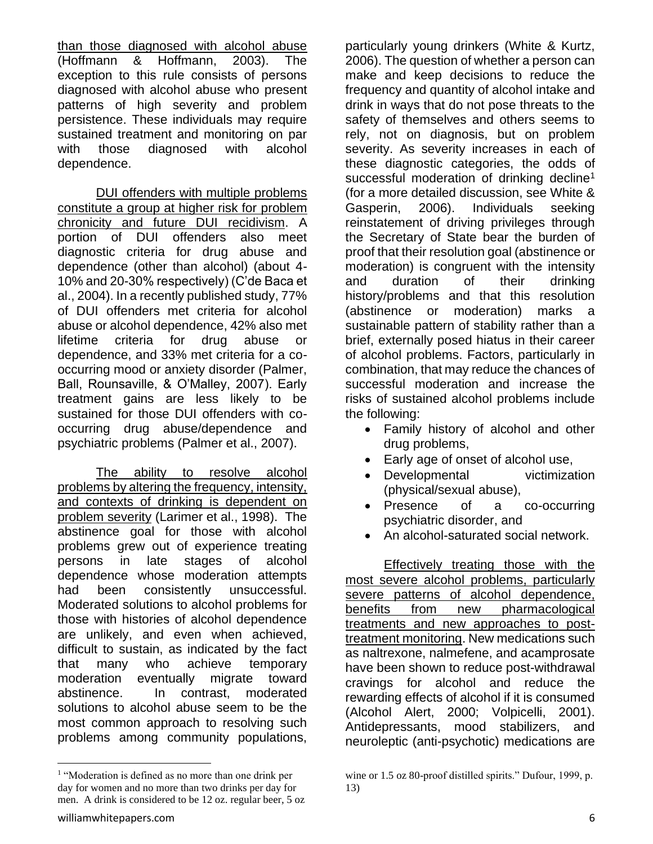than those diagnosed with alcohol abuse (Hoffmann & Hoffmann, 2003). The exception to this rule consists of persons diagnosed with alcohol abuse who present patterns of high severity and problem persistence. These individuals may require sustained treatment and monitoring on par with those diagnosed with alcohol dependence.

DUI offenders with multiple problems constitute a group at higher risk for problem chronicity and future DUI recidivism. A portion of DUI offenders also meet diagnostic criteria for drug abuse and dependence (other than alcohol) (about 4- 10% and 20-30% respectively) (C'de Baca et al., 2004). In a recently published study, 77% of DUI offenders met criteria for alcohol abuse or alcohol dependence, 42% also met lifetime criteria for drug abuse or dependence, and 33% met criteria for a cooccurring mood or anxiety disorder (Palmer, Ball, Rounsaville, & O'Malley, 2007). Early treatment gains are less likely to be sustained for those DUI offenders with cooccurring drug abuse/dependence and psychiatric problems (Palmer et al., 2007).

The ability to resolve alcohol problems by altering the frequency, intensity, and contexts of drinking is dependent on problem severity (Larimer et al., 1998). The abstinence goal for those with alcohol problems grew out of experience treating persons in late stages of alcohol dependence whose moderation attempts had been consistently unsuccessful. Moderated solutions to alcohol problems for those with histories of alcohol dependence are unlikely, and even when achieved, difficult to sustain, as indicated by the fact that many who achieve temporary moderation eventually migrate toward abstinence. In contrast, moderated solutions to alcohol abuse seem to be the most common approach to resolving such problems among community populations,

particularly young drinkers (White & Kurtz, 2006). The question of whether a person can make and keep decisions to reduce the frequency and quantity of alcohol intake and drink in ways that do not pose threats to the safety of themselves and others seems to rely, not on diagnosis, but on problem severity. As severity increases in each of these diagnostic categories, the odds of successful moderation of drinking decline<sup>1</sup> (for a more detailed discussion, see White & Gasperin, 2006). Individuals seeking reinstatement of driving privileges through the Secretary of State bear the burden of proof that their resolution goal (abstinence or moderation) is congruent with the intensity and duration of their drinking history/problems and that this resolution (abstinence or moderation) marks a sustainable pattern of stability rather than a brief, externally posed hiatus in their career of alcohol problems. Factors, particularly in combination, that may reduce the chances of successful moderation and increase the risks of sustained alcohol problems include the following:

- Family history of alcohol and other drug problems,
- Early age of onset of alcohol use,
- Developmental victimization (physical/sexual abuse),
- Presence of a co-occurring psychiatric disorder, and
- An alcohol-saturated social network.

 Effectively treating those with the most severe alcohol problems, particularly severe patterns of alcohol dependence, benefits from new pharmacological treatments and new approaches to posttreatment monitoring. New medications such as naltrexone, nalmefene, and acamprosate have been shown to reduce post-withdrawal cravings for alcohol and reduce the rewarding effects of alcohol if it is consumed (Alcohol Alert, 2000; Volpicelli, 2001). Antidepressants, mood stabilizers, and neuroleptic (anti-psychotic) medications are

<sup>&</sup>lt;sup>1</sup> "Moderation is defined as no more than one drink per day for women and no more than two drinks per day for men. A drink is considered to be 12 oz. regular beer, 5 oz

wine or 1.5 oz 80-proof distilled spirits." Dufour, 1999, p. 13)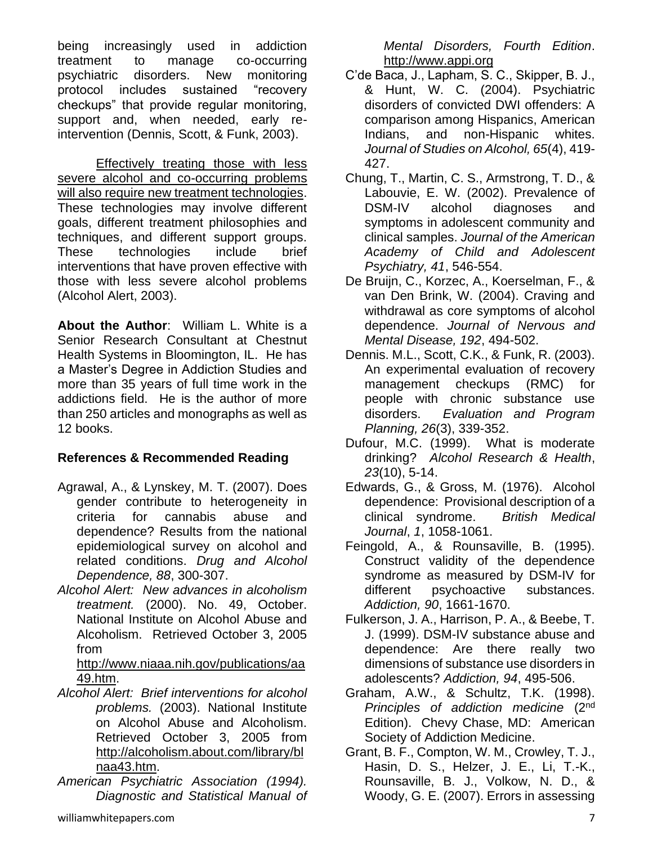being increasingly used in addiction treatment to manage co-occurring psychiatric disorders. New monitoring protocol includes sustained "recovery checkups" that provide regular monitoring, support and, when needed, early reintervention (Dennis, Scott, & Funk, 2003).

Effectively treating those with less severe alcohol and co-occurring problems will also require new treatment technologies. These technologies may involve different goals, different treatment philosophies and techniques, and different support groups. These technologies include brief interventions that have proven effective with those with less severe alcohol problems (Alcohol Alert, 2003).

**About the Author**: William L. White is a Senior Research Consultant at Chestnut Health Systems in Bloomington, IL. He has a Master's Degree in Addiction Studies and more than 35 years of full time work in the addictions field. He is the author of more than 250 articles and monographs as well as 12 books.

## **References & Recommended Reading**

- Agrawal, A., & Lynskey, M. T. (2007). Does gender contribute to heterogeneity in criteria for cannabis abuse and dependence? Results from the national epidemiological survey on alcohol and related conditions. *Drug and Alcohol Dependence, 88*, 300-307.
- *Alcohol Alert: New advances in alcoholism treatment.* (2000). No. 49, October. National Institute on Alcohol Abuse and Alcoholism. Retrieved October 3, 2005 from

#### [http://www.niaaa.nih.gov/publications/aa](http://www.niaaa.nih.gov/publications/aa49.htm) [49.htm.](http://www.niaaa.nih.gov/publications/aa49.htm)

- *Alcohol Alert: Brief interventions for alcohol problems.* (2003). National Institute on Alcohol Abuse and Alcoholism. Retrieved October 3, 2005 from [http://alcoholism.about.com/library/bl](http://alcoholism.about.com/library/blnaa43.htm) [naa43.htm.](http://alcoholism.about.com/library/blnaa43.htm)
- *American Psychiatric Association (1994). Diagnostic and Statistical Manual of*

*Mental Disorders, Fourth Edition*. [http://www.appi.org](http://www.appi.org/)

- C'de Baca, J., Lapham, S. C., Skipper, B. J., & Hunt, W. C. (2004). Psychiatric disorders of convicted DWI offenders: A comparison among Hispanics, American Indians, and non-Hispanic whites. *Journal of Studies on Alcohol, 65*(4), 419- 427.
- Chung, T., Martin, C. S., Armstrong, T. D., & Labouvie, E. W. (2002). Prevalence of DSM-IV alcohol diagnoses and symptoms in adolescent community and clinical samples. *Journal of the American Academy of Child and Adolescent Psychiatry, 41*, 546-554.
- De Bruijn, C., Korzec, A., Koerselman, F., & van Den Brink, W. (2004). Craving and withdrawal as core symptoms of alcohol dependence. *Journal of Nervous and Mental Disease, 192*, 494-502.
- Dennis. M.L., Scott, C.K., & Funk, R. (2003). An experimental evaluation of recovery management checkups (RMC) for people with chronic substance use disorders. *Evaluation and Program Planning, 26*(3), 339-352.
- Dufour, M.C. (1999). What is moderate drinking? *Alcohol Research & Health*, *23*(10), 5-14.
- Edwards, G., & Gross, M. (1976). Alcohol dependence: Provisional description of a clinical syndrome. *British Medical Journal*, *1*, 1058-1061.
- Feingold, A., & Rounsaville, B. (1995). Construct validity of the dependence syndrome as measured by DSM-IV for different psychoactive substances. *Addiction, 90*, 1661-1670.
- Fulkerson, J. A., Harrison, P. A., & Beebe, T. J. (1999). DSM-IV substance abuse and dependence: Are there really two dimensions of substance use disorders in adolescents? *Addiction, 94*, 495-506.
- Graham, A.W., & Schultz, T.K. (1998). *Principles of addiction medicine* (2nd Edition). Chevy Chase, MD: American Society of Addiction Medicine.
- Grant, B. F., Compton, W. M., Crowley, T. J., Hasin, D. S., Helzer, J. E., Li, T.-K., Rounsaville, B. J., Volkow, N. D., & Woody, G. E. (2007). Errors in assessing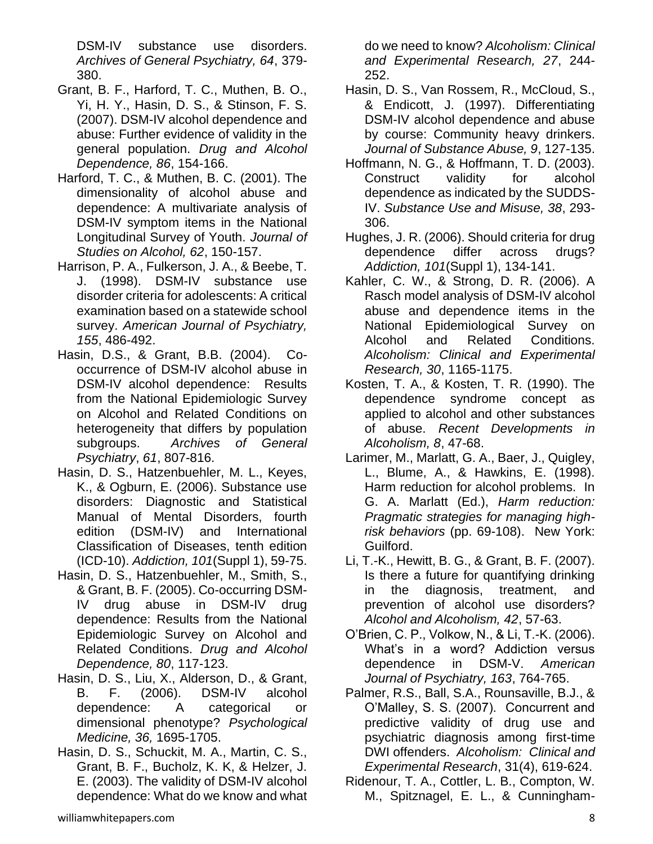DSM-IV substance use disorders. *Archives of General Psychiatry, 64*, 379- 380.

- Grant, B. F., Harford, T. C., Muthen, B. O., Yi, H. Y., Hasin, D. S., & Stinson, F. S. (2007). DSM-IV alcohol dependence and abuse: Further evidence of validity in the general population. *Drug and Alcohol Dependence, 86*, 154-166.
- Harford, T. C., & Muthen, B. C. (2001). The dimensionality of alcohol abuse and dependence: A multivariate analysis of DSM-IV symptom items in the National Longitudinal Survey of Youth. *Journal of Studies on Alcohol, 62*, 150-157.
- Harrison, P. A., Fulkerson, J. A., & Beebe, T. J. (1998). DSM-IV substance use disorder criteria for adolescents: A critical examination based on a statewide school survey. *American Journal of Psychiatry, 155*, 486-492.
- Hasin, D.S., & Grant, B.B. (2004). Cooccurrence of DSM-IV alcohol abuse in DSM-IV alcohol dependence: Results from the National Epidemiologic Survey on Alcohol and Related Conditions on heterogeneity that differs by population subgroups. *Archives of General Psychiatry*, *61*, 807-816.
- Hasin, D. S., Hatzenbuehler, M. L., Keyes, K., & Ogburn, E. (2006). Substance use disorders: Diagnostic and Statistical Manual of Mental Disorders, fourth edition (DSM-IV) and International Classification of Diseases, tenth edition (ICD-10). *Addiction, 101*(Suppl 1), 59-75.
- Hasin, D. S., Hatzenbuehler, M., Smith, S., & Grant, B. F. (2005). Co-occurring DSM-IV drug abuse in DSM-IV drug dependence: Results from the National Epidemiologic Survey on Alcohol and Related Conditions. *Drug and Alcohol Dependence, 80*, 117-123.
- Hasin, D. S., Liu, X., Alderson, D., & Grant, B. F. (2006). DSM-IV alcohol dependence: A categorical or dimensional phenotype? *Psychological Medicine, 36,* 1695-1705.
- Hasin, D. S., Schuckit, M. A., Martin, C. S., Grant, B. F., Bucholz, K. K, & Helzer, J. E. (2003). The validity of DSM-IV alcohol dependence: What do we know and what

do we need to know? *Alcoholism: Clinical and Experimental Research, 27*, 244- 252.

- Hasin, D. S., Van Rossem, R., McCloud, S., & Endicott, J. (1997). Differentiating DSM-IV alcohol dependence and abuse by course: Community heavy drinkers. *Journal of Substance Abuse, 9*, 127-135.
- Hoffmann, N. G., & Hoffmann, T. D. (2003). Construct validity for alcohol dependence as indicated by the SUDDS-IV. *Substance Use and Misuse, 38*, 293- 306.
- Hughes, J. R. (2006). Should criteria for drug dependence differ across drugs? *Addiction, 101*(Suppl 1), 134-141.
- Kahler, C. W., & Strong, D. R. (2006). A Rasch model analysis of DSM-IV alcohol abuse and dependence items in the National Epidemiological Survey on Alcohol and Related Conditions. *Alcoholism: Clinical and Experimental Research, 30*, 1165-1175.
- Kosten, T. A., & Kosten, T. R. (1990). The dependence syndrome concept as applied to alcohol and other substances of abuse. *Recent Developments in Alcoholism, 8*, 47-68.
- Larimer, M., Marlatt, G. A., Baer, J., Quigley, L., Blume, A., & Hawkins, E. (1998). Harm reduction for alcohol problems. In G. A. Marlatt (Ed.), *Harm reduction: Pragmatic strategies for managing highrisk behaviors* (pp. 69-108). New York: Guilford.
- Li, T.-K., Hewitt, B. G., & Grant, B. F. (2007). Is there a future for quantifying drinking in the diagnosis, treatment, and prevention of alcohol use disorders? *Alcohol and Alcoholism, 42*, 57-63.
- O'Brien, C. P., Volkow, N., & Li, T.-K. (2006). What's in a word? Addiction versus dependence in DSM-V. *American Journal of Psychiatry, 163*, 764-765.
- Palmer, R.S., Ball, S.A., Rounsaville, B.J., & O'Malley, S. S. (2007). Concurrent and predictive validity of drug use and psychiatric diagnosis among first-time DWI offenders. *Alcoholism: Clinical and Experimental Research*, 31(4), 619-624.
- Ridenour, T. A., Cottler, L. B., Compton, W. M., Spitznagel, E. L., & Cunningham-